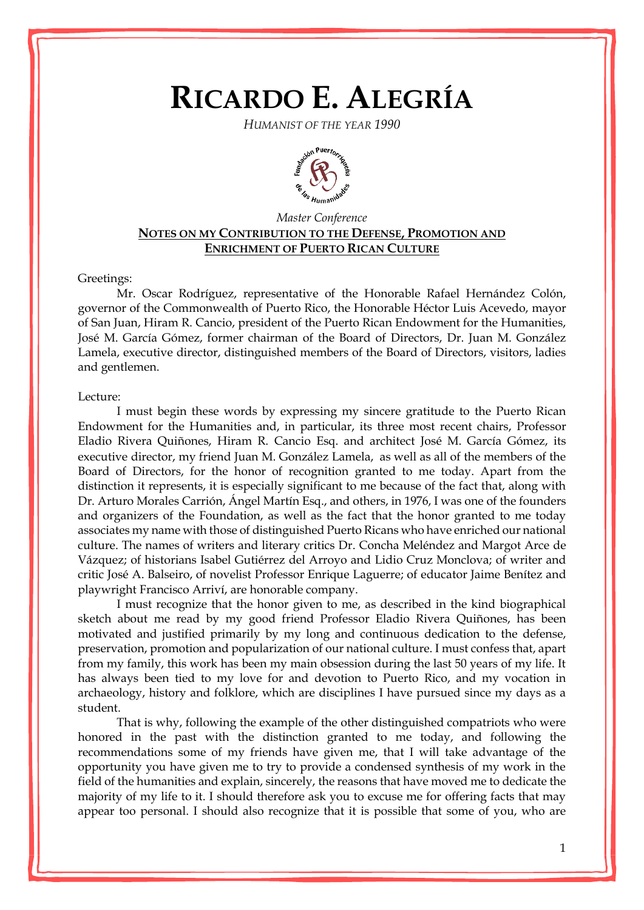## **RICARDO E. ALEGRÍA**

*HUMANIST OF THE YEAR 1990*



## *Master Conference* **NOTES ON MY CONTRIBUTION TO THE DEFENSE, PROMOTION AND ENRICHMENT OF PUERTO RICAN CULTURE**

## Greetings:

Mr. Oscar Rodríguez, representative of the Honorable Rafael Hernández Colón, governor of the Commonwealth of Puerto Rico, the Honorable Héctor Luis Acevedo, mayor of San Juan, Hiram R. Cancio, president of the Puerto Rican Endowment for the Humanities, José M. García Gómez, former chairman of the Board of Directors, Dr. Juan M. González Lamela, executive director, distinguished members of the Board of Directors, visitors, ladies and gentlemen.

## Lecture:

I must begin these words by expressing my sincere gratitude to the Puerto Rican Endowment for the Humanities and, in particular, its three most recent chairs, Professor Eladio Rivera Quiñones, Hiram R. Cancio Esq. and architect José M. García Gómez, its executive director, my friend Juan M. González Lamela, as well as all of the members of the Board of Directors, for the honor of recognition granted to me today. Apart from the distinction it represents, it is especially significant to me because of the fact that, along with Dr. Arturo Morales Carrión, Ángel Martín Esq., and others, in 1976, I was one of the founders and organizers of the Foundation, as well as the fact that the honor granted to me today associates my name with those of distinguished Puerto Ricans who have enriched our national culture. The names of writers and literary critics Dr. Concha Meléndez and Margot Arce de Vázquez; of historians Isabel Gutiérrez del Arroyo and Lidio Cruz Monclova; of writer and critic José A. Balseiro, of novelist Professor Enrique Laguerre; of educator Jaime Benítez and playwright Francisco Arriví, are honorable company.

I must recognize that the honor given to me, as described in the kind biographical sketch about me read by my good friend Professor Eladio Rivera Quiñones, has been motivated and justified primarily by my long and continuous dedication to the defense, preservation, promotion and popularization of our national culture. I must confess that, apart from my family, this work has been my main obsession during the last 50 years of my life. It has always been tied to my love for and devotion to Puerto Rico, and my vocation in archaeology, history and folklore, which are disciplines I have pursued since my days as a student.

That is why, following the example of the other distinguished compatriots who were honored in the past with the distinction granted to me today, and following the recommendations some of my friends have given me, that I will take advantage of the opportunity you have given me to try to provide a condensed synthesis of my work in the field of the humanities and explain, sincerely, the reasons that have moved me to dedicate the majority of my life to it. I should therefore ask you to excuse me for offering facts that may appear too personal. I should also recognize that it is possible that some of you, who are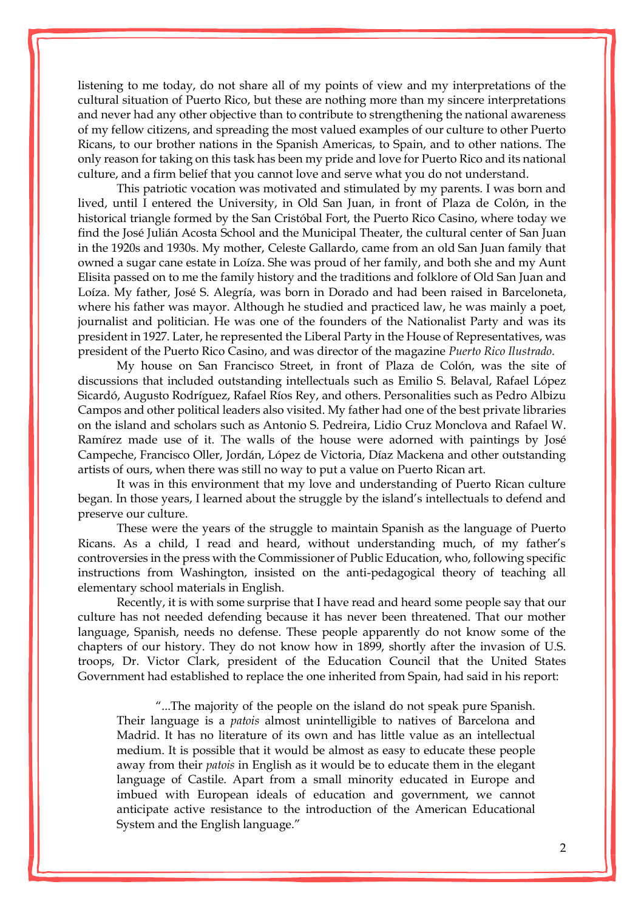listening to me today, do not share all of my points of view and my interpretations of the cultural situation of Puerto Rico, but these are nothing more than my sincere interpretations and never had any other objective than to contribute to strengthening the national awareness of my fellow citizens, and spreading the most valued examples of our culture to other Puerto Ricans, to our brother nations in the Spanish Americas, to Spain, and to other nations. The only reason for taking on this task has been my pride and love for Puerto Rico and its national culture, and a firm belief that you cannot love and serve what you do not understand.

This patriotic vocation was motivated and stimulated by my parents. I was born and lived, until I entered the University, in Old San Juan, in front of Plaza de Colón, in the historical triangle formed by the San Cristóbal Fort, the Puerto Rico Casino, where today we find the José Julián Acosta School and the Municipal Theater, the cultural center of San Juan in the 1920s and 1930s. My mother, Celeste Gallardo, came from an old San Juan family that owned a sugar cane estate in Loíza. She was proud of her family, and both she and my Aunt Elisita passed on to me the family history and the traditions and folklore of Old San Juan and Loíza. My father, José S. Alegría, was born in Dorado and had been raised in Barceloneta, where his father was mayor. Although he studied and practiced law, he was mainly a poet, journalist and politician. He was one of the founders of the Nationalist Party and was its president in 1927. Later, he represented the Liberal Party in the House of Representatives, was president of the Puerto Rico Casino, and was director of the magazine *Puerto Rico Ilustrado*.

My house on San Francisco Street, in front of Plaza de Colón, was the site of discussions that included outstanding intellectuals such as Emilio S. Belaval, Rafael López Sicardó, Augusto Rodríguez, Rafael Ríos Rey, and others. Personalities such as Pedro Albizu Campos and other political leaders also visited. My father had one of the best private libraries on the island and scholars such as Antonio S. Pedreira, Lidio Cruz Monclova and Rafael W. Ramírez made use of it. The walls of the house were adorned with paintings by José Campeche, Francisco Oller, Jordán, López de Victoria, Díaz Mackena and other outstanding artists of ours, when there was still no way to put a value on Puerto Rican art.

It was in this environment that my love and understanding of Puerto Rican culture began. In those years, I learned about the struggle by the island's intellectuals to defend and preserve our culture.

These were the years of the struggle to maintain Spanish as the language of Puerto Ricans. As a child, I read and heard, without understanding much, of my father's controversies in the press with the Commissioner of Public Education, who, following specific instructions from Washington, insisted on the anti-pedagogical theory of teaching all elementary school materials in English.

Recently, it is with some surprise that I have read and heard some people say that our culture has not needed defending because it has never been threatened. That our mother language, Spanish, needs no defense. These people apparently do not know some of the chapters of our history. They do not know how in 1899, shortly after the invasion of U.S. troops, Dr. Victor Clark, president of the Education Council that the United States Government had established to replace the one inherited from Spain, had said in his report:

"...The majority of the people on the island do not speak pure Spanish. Their language is a *patois* almost unintelligible to natives of Barcelona and Madrid. It has no literature of its own and has little value as an intellectual medium. It is possible that it would be almost as easy to educate these people away from their *patois* in English as it would be to educate them in the elegant language of Castile. Apart from a small minority educated in Europe and imbued with European ideals of education and government, we cannot anticipate active resistance to the introduction of the American Educational System and the English language."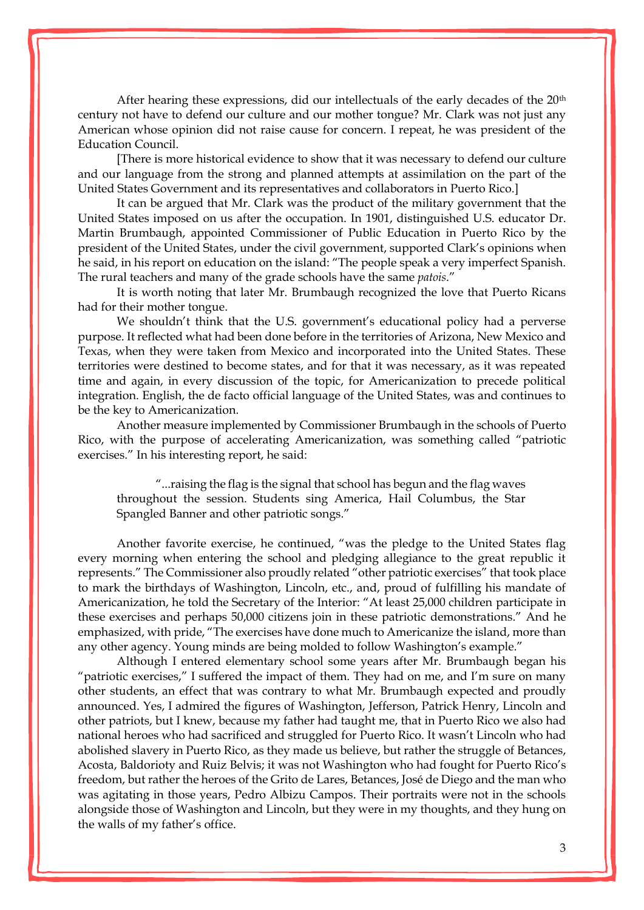After hearing these expressions, did our intellectuals of the early decades of the 20<sup>th</sup> century not have to defend our culture and our mother tongue? Mr. Clark was not just any American whose opinion did not raise cause for concern. I repeat, he was president of the Education Council.

[There is more historical evidence to show that it was necessary to defend our culture and our language from the strong and planned attempts at assimilation on the part of the United States Government and its representatives and collaborators in Puerto Rico.]

It can be argued that Mr. Clark was the product of the military government that the United States imposed on us after the occupation. In 1901, distinguished U.S. educator Dr. Martin Brumbaugh, appointed Commissioner of Public Education in Puerto Rico by the president of the United States, under the civil government, supported Clark's opinions when he said, in his report on education on the island: "The people speak a very imperfect Spanish. The rural teachers and many of the grade schools have the same *patois*."

It is worth noting that later Mr. Brumbaugh recognized the love that Puerto Ricans had for their mother tongue.

We shouldn't think that the U.S. government's educational policy had a perverse purpose. It reflected what had been done before in the territories of Arizona, New Mexico and Texas, when they were taken from Mexico and incorporated into the United States. These territories were destined to become states, and for that it was necessary, as it was repeated time and again, in every discussion of the topic, for Americanization to precede political integration. English, the de facto official language of the United States, was and continues to be the key to Americanization.

Another measure implemented by Commissioner Brumbaugh in the schools of Puerto Rico, with the purpose of accelerating Americanization, was something called "patriotic exercises." In his interesting report, he said:

"...raising the flag is the signal that school has begun and the flag waves throughout the session. Students sing America, Hail Columbus, the Star Spangled Banner and other patriotic songs."

Another favorite exercise, he continued, "was the pledge to the United States flag every morning when entering the school and pledging allegiance to the great republic it represents." The Commissioner also proudly related "other patriotic exercises" that took place to mark the birthdays of Washington, Lincoln, etc., and, proud of fulfilling his mandate of Americanization, he told the Secretary of the Interior: "At least 25,000 children participate in these exercises and perhaps 50,000 citizens join in these patriotic demonstrations." And he emphasized, with pride, "The exercises have done much to Americanize the island, more than any other agency. Young minds are being molded to follow Washington's example."

Although I entered elementary school some years after Mr. Brumbaugh began his "patriotic exercises," I suffered the impact of them. They had on me, and I'm sure on many other students, an effect that was contrary to what Mr. Brumbaugh expected and proudly announced. Yes, I admired the figures of Washington, Jefferson, Patrick Henry, Lincoln and other patriots, but I knew, because my father had taught me, that in Puerto Rico we also had national heroes who had sacrificed and struggled for Puerto Rico. It wasn't Lincoln who had abolished slavery in Puerto Rico, as they made us believe, but rather the struggle of Betances, Acosta, Baldorioty and Ruiz Belvis; it was not Washington who had fought for Puerto Rico's freedom, but rather the heroes of the Grito de Lares, Betances, José de Diego and the man who was agitating in those years, Pedro Albizu Campos. Their portraits were not in the schools alongside those of Washington and Lincoln, but they were in my thoughts, and they hung on the walls of my father's office.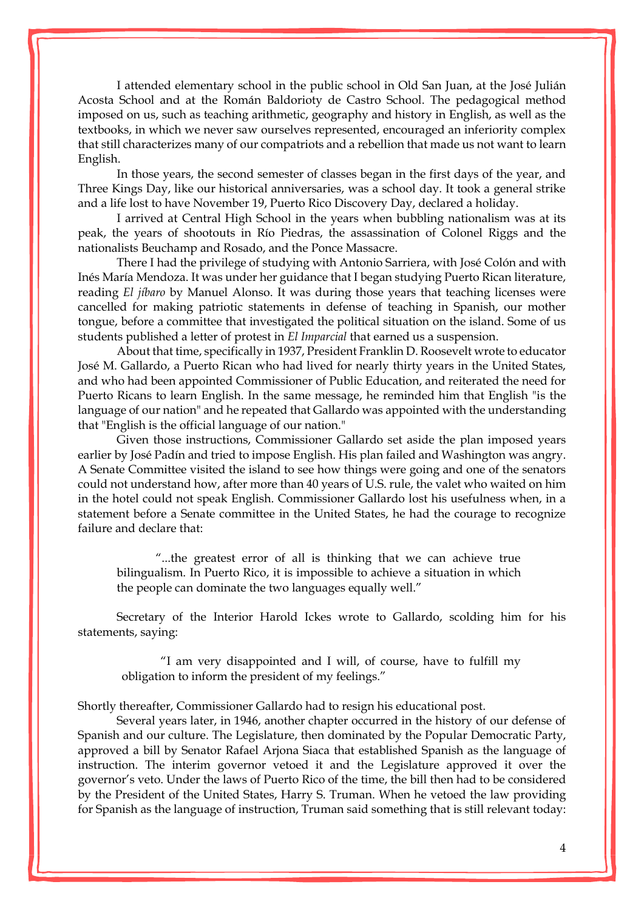I attended elementary school in the public school in Old San Juan, at the José Julián Acosta School and at the Román Baldorioty de Castro School. The pedagogical method imposed on us, such as teaching arithmetic, geography and history in English, as well as the textbooks, in which we never saw ourselves represented, encouraged an inferiority complex that still characterizes many of our compatriots and a rebellion that made us not want to learn English.

In those years, the second semester of classes began in the first days of the year, and Three Kings Day, like our historical anniversaries, was a school day. It took a general strike and a life lost to have November 19, Puerto Rico Discovery Day, declared a holiday.

I arrived at Central High School in the years when bubbling nationalism was at its peak, the years of shootouts in Río Piedras, the assassination of Colonel Riggs and the nationalists Beuchamp and Rosado, and the Ponce Massacre.

There I had the privilege of studying with Antonio Sarriera, with José Colón and with Inés María Mendoza. It was under her guidance that I began studying Puerto Rican literature, reading *El jíbaro* by Manuel Alonso. It was during those years that teaching licenses were cancelled for making patriotic statements in defense of teaching in Spanish, our mother tongue, before a committee that investigated the political situation on the island. Some of us students published a letter of protest in *El Imparcial* that earned us a suspension.

About that time, specifically in 1937, President Franklin D. Roosevelt wrote to educator José M. Gallardo, a Puerto Rican who had lived for nearly thirty years in the United States, and who had been appointed Commissioner of Public Education, and reiterated the need for Puerto Ricans to learn English. In the same message, he reminded him that English "is the language of our nation" and he repeated that Gallardo was appointed with the understanding that "English is the official language of our nation."

Given those instructions, Commissioner Gallardo set aside the plan imposed years earlier by José Padín and tried to impose English. His plan failed and Washington was angry. A Senate Committee visited the island to see how things were going and one of the senators could not understand how, after more than 40 years of U.S. rule, the valet who waited on him in the hotel could not speak English. Commissioner Gallardo lost his usefulness when, in a statement before a Senate committee in the United States, he had the courage to recognize failure and declare that:

"...the greatest error of all is thinking that we can achieve true bilingualism. In Puerto Rico, it is impossible to achieve a situation in which the people can dominate the two languages equally well."

Secretary of the Interior Harold Ickes wrote to Gallardo, scolding him for his statements, saying:

"I am very disappointed and I will, of course, have to fulfill my obligation to inform the president of my feelings."

Shortly thereafter, Commissioner Gallardo had to resign his educational post.

Several years later, in 1946, another chapter occurred in the history of our defense of Spanish and our culture. The Legislature, then dominated by the Popular Democratic Party, approved a bill by Senator Rafael Arjona Siaca that established Spanish as the language of instruction. The interim governor vetoed it and the Legislature approved it over the governor's veto. Under the laws of Puerto Rico of the time, the bill then had to be considered by the President of the United States, Harry S. Truman. When he vetoed the law providing for Spanish as the language of instruction, Truman said something that is still relevant today: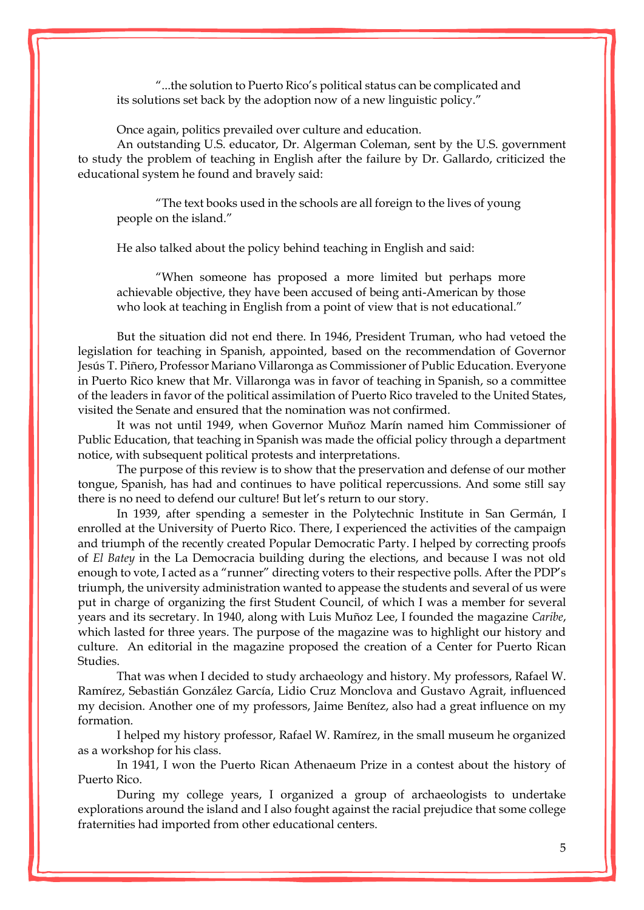"...the solution to Puerto Rico's political status can be complicated and its solutions set back by the adoption now of a new linguistic policy."

Once again, politics prevailed over culture and education.

An outstanding U.S. educator, Dr. Algerman Coleman, sent by the U.S. government to study the problem of teaching in English after the failure by Dr. Gallardo, criticized the educational system he found and bravely said:

"The text books used in the schools are all foreign to the lives of young people on the island."

He also talked about the policy behind teaching in English and said:

"When someone has proposed a more limited but perhaps more achievable objective, they have been accused of being anti-American by those who look at teaching in English from a point of view that is not educational."

But the situation did not end there. In 1946, President Truman, who had vetoed the legislation for teaching in Spanish, appointed, based on the recommendation of Governor Jesús T. Piñero, Professor Mariano Villaronga as Commissioner of Public Education. Everyone in Puerto Rico knew that Mr. Villaronga was in favor of teaching in Spanish, so a committee of the leaders in favor of the political assimilation of Puerto Rico traveled to the United States, visited the Senate and ensured that the nomination was not confirmed.

It was not until 1949, when Governor Muñoz Marín named him Commissioner of Public Education, that teaching in Spanish was made the official policy through a department notice, with subsequent political protests and interpretations.

The purpose of this review is to show that the preservation and defense of our mother tongue, Spanish, has had and continues to have political repercussions. And some still say there is no need to defend our culture! But let's return to our story.

In 1939, after spending a semester in the Polytechnic Institute in San Germán, I enrolled at the University of Puerto Rico. There, I experienced the activities of the campaign and triumph of the recently created Popular Democratic Party. I helped by correcting proofs of *El Batey* in the La Democracia building during the elections, and because I was not old enough to vote, I acted as a "runner" directing voters to their respective polls. After the PDP's triumph, the university administration wanted to appease the students and several of us were put in charge of organizing the first Student Council, of which I was a member for several years and its secretary. In 1940, along with Luis Muñoz Lee, I founded the magazine *Caribe*, which lasted for three years. The purpose of the magazine was to highlight our history and culture. An editorial in the magazine proposed the creation of a Center for Puerto Rican Studies.

That was when I decided to study archaeology and history. My professors, Rafael W. Ramírez, Sebastián González García, Lidio Cruz Monclova and Gustavo Agrait, influenced my decision. Another one of my professors, Jaime Benítez, also had a great influence on my formation.

I helped my history professor, Rafael W. Ramírez, in the small museum he organized as a workshop for his class.

In 1941, I won the Puerto Rican Athenaeum Prize in a contest about the history of Puerto Rico.

During my college years, I organized a group of archaeologists to undertake explorations around the island and I also fought against the racial prejudice that some college fraternities had imported from other educational centers.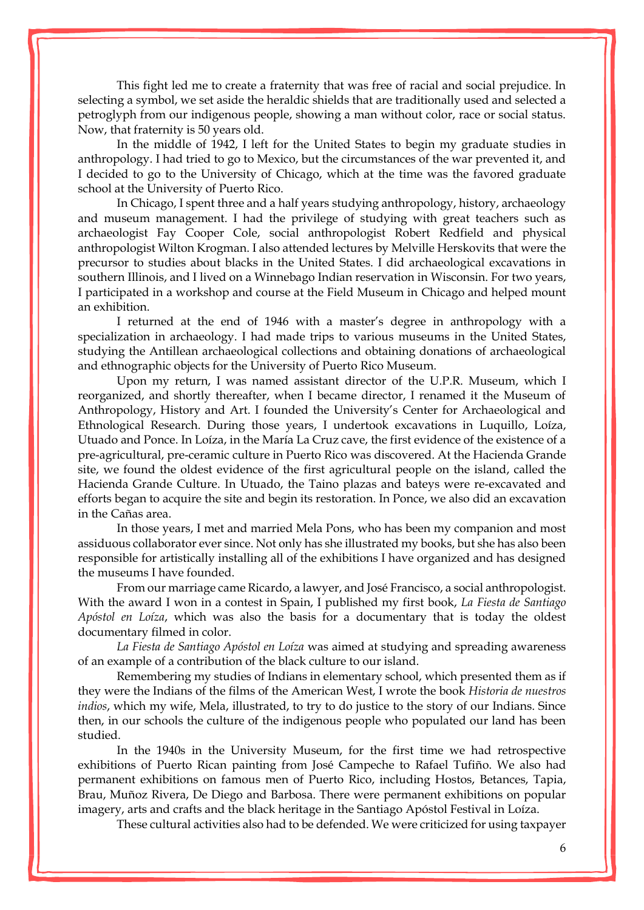This fight led me to create a fraternity that was free of racial and social prejudice. In selecting a symbol, we set aside the heraldic shields that are traditionally used and selected a petroglyph from our indigenous people, showing a man without color, race or social status. Now, that fraternity is 50 years old.

In the middle of 1942, I left for the United States to begin my graduate studies in anthropology. I had tried to go to Mexico, but the circumstances of the war prevented it, and I decided to go to the University of Chicago, which at the time was the favored graduate school at the University of Puerto Rico.

In Chicago, I spent three and a half years studying anthropology, history, archaeology and museum management. I had the privilege of studying with great teachers such as archaeologist Fay Cooper Cole, social anthropologist Robert Redfield and physical anthropologist Wilton Krogman. I also attended lectures by Melville Herskovits that were the precursor to studies about blacks in the United States. I did archaeological excavations in southern Illinois, and I lived on a Winnebago Indian reservation in Wisconsin. For two years, I participated in a workshop and course at the Field Museum in Chicago and helped mount an exhibition.

I returned at the end of 1946 with a master's degree in anthropology with a specialization in archaeology. I had made trips to various museums in the United States, studying the Antillean archaeological collections and obtaining donations of archaeological and ethnographic objects for the University of Puerto Rico Museum.

Upon my return, I was named assistant director of the U.P.R. Museum, which I reorganized, and shortly thereafter, when I became director, I renamed it the Museum of Anthropology, History and Art. I founded the University's Center for Archaeological and Ethnological Research. During those years, I undertook excavations in Luquillo, Loíza, Utuado and Ponce. In Loíza, in the María La Cruz cave, the first evidence of the existence of a pre-agricultural, pre-ceramic culture in Puerto Rico was discovered. At the Hacienda Grande site, we found the oldest evidence of the first agricultural people on the island, called the Hacienda Grande Culture. In Utuado, the Taino plazas and bateys were re-excavated and efforts began to acquire the site and begin its restoration. In Ponce, we also did an excavation in the Cañas area.

In those years, I met and married Mela Pons, who has been my companion and most assiduous collaborator ever since. Not only has she illustrated my books, but she has also been responsible for artistically installing all of the exhibitions I have organized and has designed the museums I have founded.

From our marriage came Ricardo, a lawyer, and José Francisco, a social anthropologist. With the award I won in a contest in Spain, I published my first book, *La Fiesta de Santiago Apóstol en Loíza*, which was also the basis for a documentary that is today the oldest documentary filmed in color.

*La Fiesta de Santiago Apóstol en Loíza* was aimed at studying and spreading awareness of an example of a contribution of the black culture to our island.

Remembering my studies of Indians in elementary school, which presented them as if they were the Indians of the films of the American West, I wrote the book *Historia de nuestros indios*, which my wife, Mela, illustrated, to try to do justice to the story of our Indians. Since then, in our schools the culture of the indigenous people who populated our land has been studied.

In the 1940s in the University Museum, for the first time we had retrospective exhibitions of Puerto Rican painting from José Campeche to Rafael Tufiño. We also had permanent exhibitions on famous men of Puerto Rico, including Hostos, Betances, Tapia, Brau, Muñoz Rivera, De Diego and Barbosa. There were permanent exhibitions on popular imagery, arts and crafts and the black heritage in the Santiago Apóstol Festival in Loíza.

These cultural activities also had to be defended. We were criticized for using taxpayer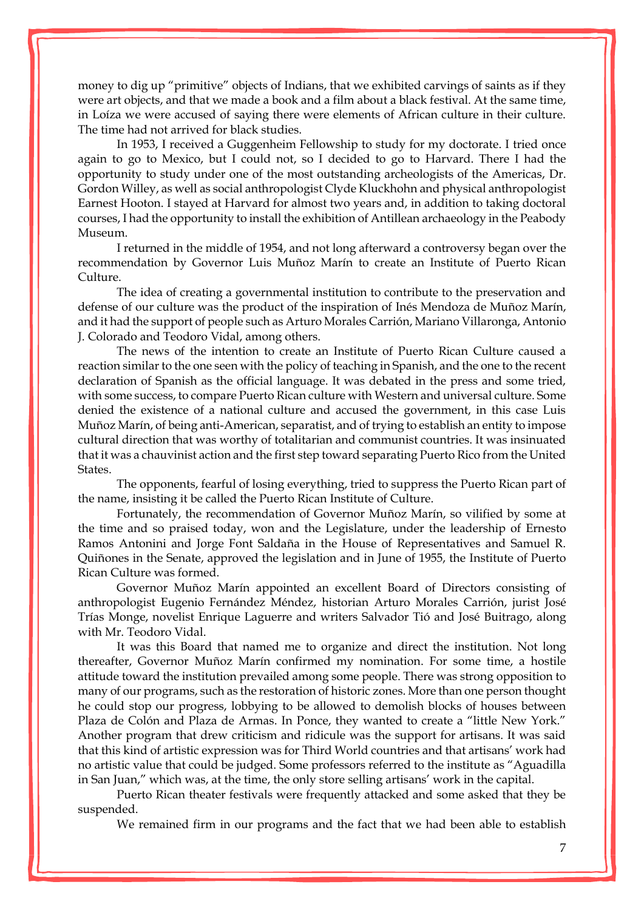money to dig up "primitive" objects of Indians, that we exhibited carvings of saints as if they were art objects, and that we made a book and a film about a black festival. At the same time, in Loíza we were accused of saying there were elements of African culture in their culture. The time had not arrived for black studies.

In 1953, I received a Guggenheim Fellowship to study for my doctorate. I tried once again to go to Mexico, but I could not, so I decided to go to Harvard. There I had the opportunity to study under one of the most outstanding archeologists of the Americas, Dr. Gordon Willey, as well as social anthropologist Clyde Kluckhohn and physical anthropologist Earnest Hooton. I stayed at Harvard for almost two years and, in addition to taking doctoral courses, I had the opportunity to install the exhibition of Antillean archaeology in the Peabody Museum.

I returned in the middle of 1954, and not long afterward a controversy began over the recommendation by Governor Luis Muñoz Marín to create an Institute of Puerto Rican Culture.

The idea of creating a governmental institution to contribute to the preservation and defense of our culture was the product of the inspiration of Inés Mendoza de Muñoz Marín, and it had the support of people such as Arturo Morales Carrión, Mariano Villaronga, Antonio J. Colorado and Teodoro Vidal, among others.

The news of the intention to create an Institute of Puerto Rican Culture caused a reaction similar to the one seen with the policy of teaching in Spanish, and the one to the recent declaration of Spanish as the official language. It was debated in the press and some tried, with some success, to compare Puerto Rican culture with Western and universal culture. Some denied the existence of a national culture and accused the government, in this case Luis Muñoz Marín, of being anti-American, separatist, and of trying to establish an entity to impose cultural direction that was worthy of totalitarian and communist countries. It was insinuated that it was a chauvinist action and the first step toward separating Puerto Rico from the United States.

The opponents, fearful of losing everything, tried to suppress the Puerto Rican part of the name, insisting it be called the Puerto Rican Institute of Culture.

Fortunately, the recommendation of Governor Muñoz Marín, so vilified by some at the time and so praised today, won and the Legislature, under the leadership of Ernesto Ramos Antonini and Jorge Font Saldaña in the House of Representatives and Samuel R. Quiñones in the Senate, approved the legislation and in June of 1955, the Institute of Puerto Rican Culture was formed.

Governor Muñoz Marín appointed an excellent Board of Directors consisting of anthropologist Eugenio Fernández Méndez, historian Arturo Morales Carrión, jurist José Trías Monge, novelist Enrique Laguerre and writers Salvador Tió and José Buitrago, along with Mr. Teodoro Vidal.

It was this Board that named me to organize and direct the institution. Not long thereafter, Governor Muñoz Marín confirmed my nomination. For some time, a hostile attitude toward the institution prevailed among some people. There was strong opposition to many of our programs, such as the restoration of historic zones. More than one person thought he could stop our progress, lobbying to be allowed to demolish blocks of houses between Plaza de Colón and Plaza de Armas. In Ponce, they wanted to create a "little New York." Another program that drew criticism and ridicule was the support for artisans. It was said that this kind of artistic expression was for Third World countries and that artisans' work had no artistic value that could be judged. Some professors referred to the institute as "Aguadilla in San Juan," which was, at the time, the only store selling artisans' work in the capital.

Puerto Rican theater festivals were frequently attacked and some asked that they be suspended.

We remained firm in our programs and the fact that we had been able to establish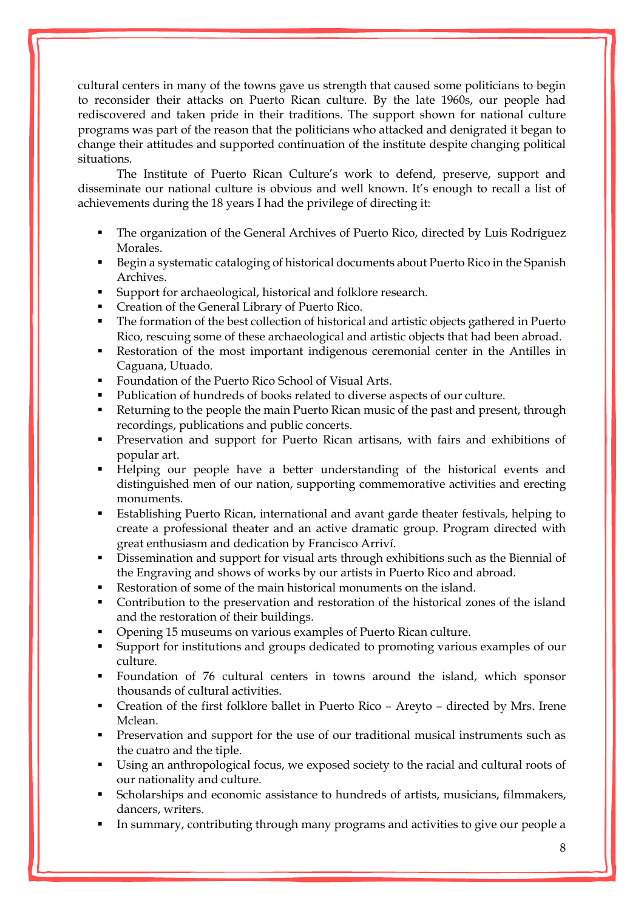cultural centers in many of the towns gave us strength that caused some politicians to begin to reconsider their attacks on Puerto Rican culture. By the late 1960s, our people had rediscovered and taken pride in their traditions. The support shown for national culture programs was part of the reason that the politicians who attacked and denigrated it began to change their attitudes and supported continuation of the institute despite changing political situations.

The Institute of Puerto Rican Culture's work to defend, preserve, support and disseminate our national culture is obvious and well known. It's enough to recall a list of achievements during the 18 years I had the privilege of directing it:

- The organization of the General Archives of Puerto Rico, directed by Luis Rodríguez Morales.
- Begin a systematic cataloging of historical documents about Puerto Rico in the Spanish Archives.
- Support for archaeological, historical and folklore research.
- Creation of the General Library of Puerto Rico.
- The formation of the best collection of historical and artistic objects gathered in Puerto Rico, rescuing some of these archaeological and artistic objects that had been abroad.
- Restoration of the most important indigenous ceremonial center in the Antilles in Caguana, Utuado.
- Foundation of the Puerto Rico School of Visual Arts.
- Publication of hundreds of books related to diverse aspects of our culture.
- Returning to the people the main Puerto Rican music of the past and present, through recordings, publications and public concerts.
- Preservation and support for Puerto Rican artisans, with fairs and exhibitions of popular art.
- Helping our people have a better understanding of the historical events and distinguished men of our nation, supporting commemorative activities and erecting monuments.
- Establishing Puerto Rican, international and avant garde theater festivals, helping to create a professional theater and an active dramatic group. Program directed with great enthusiasm and dedication by Francisco Arriví.
- Dissemination and support for visual arts through exhibitions such as the Biennial of the Engraving and shows of works by our artists in Puerto Rico and abroad.
- Restoration of some of the main historical monuments on the island.
- Contribution to the preservation and restoration of the historical zones of the island and the restoration of their buildings.
- Opening 15 museums on various examples of Puerto Rican culture.
- Support for institutions and groups dedicated to promoting various examples of our culture.
- Foundation of 76 cultural centers in towns around the island, which sponsor thousands of cultural activities.
- Creation of the first folklore ballet in Puerto Rico Areyto directed by Mrs. Irene Mclean.
- **•** Preservation and support for the use of our traditional musical instruments such as the cuatro and the tiple.
- Using an anthropological focus, we exposed society to the racial and cultural roots of our nationality and culture.
- Scholarships and economic assistance to hundreds of artists, musicians, filmmakers, dancers, writers.
- In summary, contributing through many programs and activities to give our people a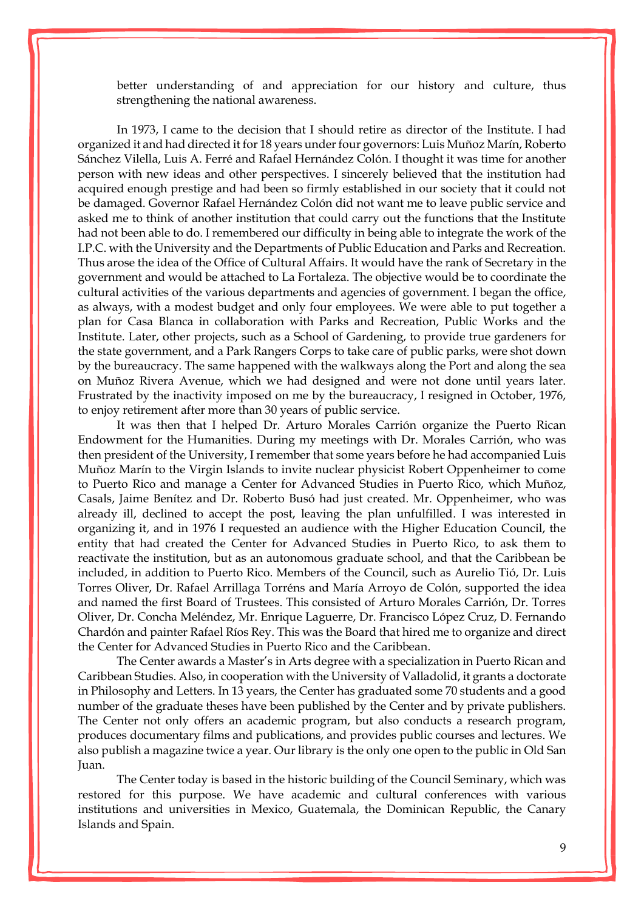better understanding of and appreciation for our history and culture, thus strengthening the national awareness.

In 1973, I came to the decision that I should retire as director of the Institute. I had organized it and had directed it for 18 years under four governors: Luis Muñoz Marín, Roberto Sánchez Vilella, Luis A. Ferré and Rafael Hernández Colón. I thought it was time for another person with new ideas and other perspectives. I sincerely believed that the institution had acquired enough prestige and had been so firmly established in our society that it could not be damaged. Governor Rafael Hernández Colón did not want me to leave public service and asked me to think of another institution that could carry out the functions that the Institute had not been able to do. I remembered our difficulty in being able to integrate the work of the I.P.C. with the University and the Departments of Public Education and Parks and Recreation. Thus arose the idea of the Office of Cultural Affairs. It would have the rank of Secretary in the government and would be attached to La Fortaleza. The objective would be to coordinate the cultural activities of the various departments and agencies of government. I began the office, as always, with a modest budget and only four employees. We were able to put together a plan for Casa Blanca in collaboration with Parks and Recreation, Public Works and the Institute. Later, other projects, such as a School of Gardening, to provide true gardeners for the state government, and a Park Rangers Corps to take care of public parks, were shot down by the bureaucracy. The same happened with the walkways along the Port and along the sea on Muñoz Rivera Avenue, which we had designed and were not done until years later. Frustrated by the inactivity imposed on me by the bureaucracy, I resigned in October, 1976, to enjoy retirement after more than 30 years of public service.

It was then that I helped Dr. Arturo Morales Carrión organize the Puerto Rican Endowment for the Humanities. During my meetings with Dr. Morales Carrión, who was then president of the University, I remember that some years before he had accompanied Luis Muñoz Marín to the Virgin Islands to invite nuclear physicist Robert Oppenheimer to come to Puerto Rico and manage a Center for Advanced Studies in Puerto Rico, which Muñoz, Casals, Jaime Benítez and Dr. Roberto Busó had just created. Mr. Oppenheimer, who was already ill, declined to accept the post, leaving the plan unfulfilled. I was interested in organizing it, and in 1976 I requested an audience with the Higher Education Council, the entity that had created the Center for Advanced Studies in Puerto Rico, to ask them to reactivate the institution, but as an autonomous graduate school, and that the Caribbean be included, in addition to Puerto Rico. Members of the Council, such as Aurelio Tió, Dr. Luis Torres Oliver, Dr. Rafael Arrillaga Torréns and María Arroyo de Colón, supported the idea and named the first Board of Trustees. This consisted of Arturo Morales Carrión, Dr. Torres Oliver, Dr. Concha Meléndez, Mr. Enrique Laguerre, Dr. Francisco López Cruz, D. Fernando Chardón and painter Rafael Ríos Rey. This was the Board that hired me to organize and direct the Center for Advanced Studies in Puerto Rico and the Caribbean.

The Center awards a Master's in Arts degree with a specialization in Puerto Rican and Caribbean Studies. Also, in cooperation with the University of Valladolid, it grants a doctorate in Philosophy and Letters. In 13 years, the Center has graduated some 70 students and a good number of the graduate theses have been published by the Center and by private publishers. The Center not only offers an academic program, but also conducts a research program, produces documentary films and publications, and provides public courses and lectures. We also publish a magazine twice a year. Our library is the only one open to the public in Old San Juan.

The Center today is based in the historic building of the Council Seminary, which was restored for this purpose. We have academic and cultural conferences with various institutions and universities in Mexico, Guatemala, the Dominican Republic, the Canary Islands and Spain.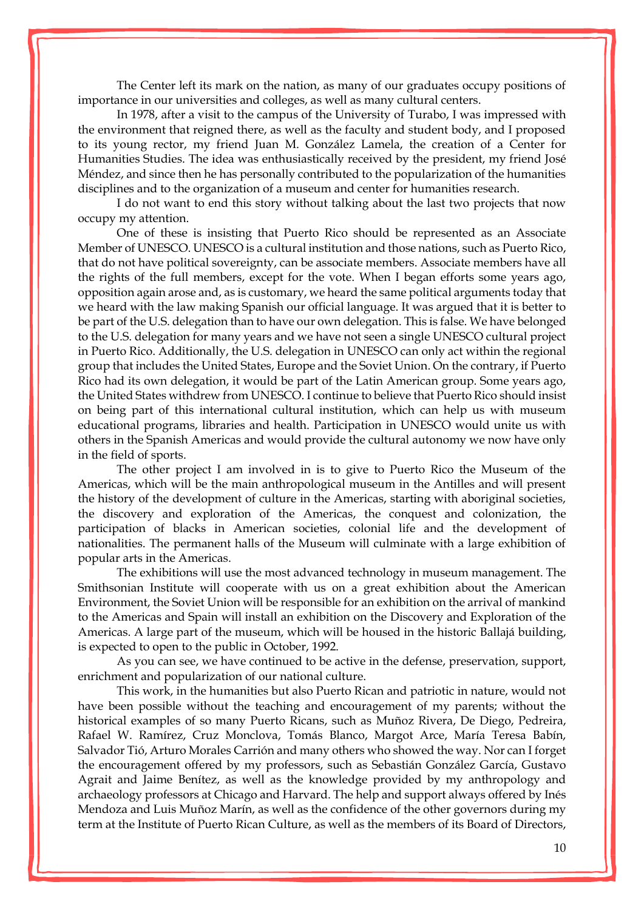The Center left its mark on the nation, as many of our graduates occupy positions of importance in our universities and colleges, as well as many cultural centers.

In 1978, after a visit to the campus of the University of Turabo, I was impressed with the environment that reigned there, as well as the faculty and student body, and I proposed to its young rector, my friend Juan M. González Lamela, the creation of a Center for Humanities Studies. The idea was enthusiastically received by the president, my friend José Méndez, and since then he has personally contributed to the popularization of the humanities disciplines and to the organization of a museum and center for humanities research.

I do not want to end this story without talking about the last two projects that now occupy my attention.

One of these is insisting that Puerto Rico should be represented as an Associate Member of UNESCO. UNESCO is a cultural institution and those nations, such as Puerto Rico, that do not have political sovereignty, can be associate members. Associate members have all the rights of the full members, except for the vote. When I began efforts some years ago, opposition again arose and, as is customary, we heard the same political arguments today that we heard with the law making Spanish our official language. It was argued that it is better to be part of the U.S. delegation than to have our own delegation. This is false. We have belonged to the U.S. delegation for many years and we have not seen a single UNESCO cultural project in Puerto Rico. Additionally, the U.S. delegation in UNESCO can only act within the regional group that includes the United States, Europe and the Soviet Union. On the contrary, if Puerto Rico had its own delegation, it would be part of the Latin American group. Some years ago, the United States withdrew from UNESCO. I continue to believe that Puerto Rico should insist on being part of this international cultural institution, which can help us with museum educational programs, libraries and health. Participation in UNESCO would unite us with others in the Spanish Americas and would provide the cultural autonomy we now have only in the field of sports.

The other project I am involved in is to give to Puerto Rico the Museum of the Americas, which will be the main anthropological museum in the Antilles and will present the history of the development of culture in the Americas, starting with aboriginal societies, the discovery and exploration of the Americas, the conquest and colonization, the participation of blacks in American societies, colonial life and the development of nationalities. The permanent halls of the Museum will culminate with a large exhibition of popular arts in the Americas.

The exhibitions will use the most advanced technology in museum management. The Smithsonian Institute will cooperate with us on a great exhibition about the American Environment, the Soviet Union will be responsible for an exhibition on the arrival of mankind to the Americas and Spain will install an exhibition on the Discovery and Exploration of the Americas. A large part of the museum, which will be housed in the historic Ballajá building, is expected to open to the public in October, 1992.

As you can see, we have continued to be active in the defense, preservation, support, enrichment and popularization of our national culture.

This work, in the humanities but also Puerto Rican and patriotic in nature, would not have been possible without the teaching and encouragement of my parents; without the historical examples of so many Puerto Ricans, such as Muñoz Rivera, De Diego, Pedreira, Rafael W. Ramírez, Cruz Monclova, Tomás Blanco, Margot Arce, María Teresa Babín, Salvador Tió, Arturo Morales Carrión and many others who showed the way. Nor can I forget the encouragement offered by my professors, such as Sebastián González García, Gustavo Agrait and Jaime Benítez, as well as the knowledge provided by my anthropology and archaeology professors at Chicago and Harvard. The help and support always offered by Inés Mendoza and Luis Muñoz Marín, as well as the confidence of the other governors during my term at the Institute of Puerto Rican Culture, as well as the members of its Board of Directors,